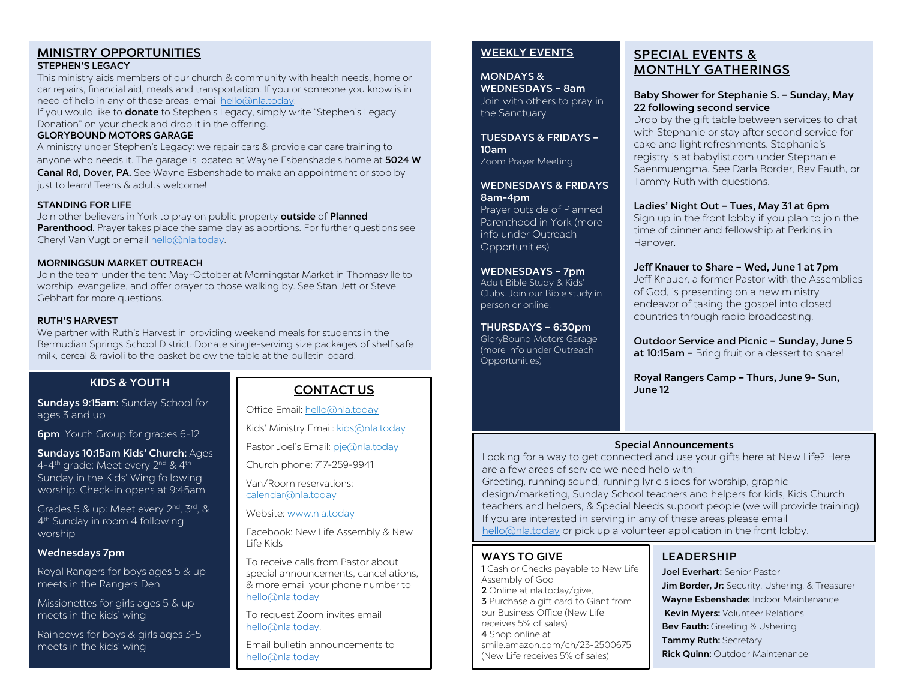#### MINISTRY OPPORTUNITIES STEPHEN'S LEGACY

This ministry aids members of our church & community with health needs, home or car repairs, financial aid, meals and transportation. If you or someone you know is in

need of help in any of these areas, email [hello@nla.today.](mailto:hello@nla.today) 

If you would like to **donate** to Stephen's Legacy, simply write "Stephen's Legacy Donation" on your check and drop it in the offering.

#### GLORYBOUND MOTORS GARAGE

A ministry under Stephen's Legacy: we repair cars & provide car care training to anyone who needs it. The garage is located at Wayne Esbenshade's home at 5024 W Canal Rd, Dover, PA. See Wayne Esbenshade to make an appointment or stop by just to learn! Teens & adults welcome!

#### STANDING FOR LIFE

Join other believers in York to pray on public property outside of Planned Parenthood. Prayer takes place the same day as abortions. For further questions see Cheryl Van Vugt or email [hello@nla.today.](mailto:hello@nla.today) 

#### MORNINGSUN MARKET OUTREACH

Join the team under the tent May-October at Morningstar Market in Thomasville to worship, evangelize, and offer prayer to those walking by. See Stan Jett or Steve Gebhart for more questions.

#### RUTH'S HARVEST

We partner with Ruth's Harvest in providing weekend meals for students in the Bermudian Springs School District. Donate single-serving size packages of shelf safe milk, cereal & ravioli to the basket below the table at the bulletin board.

## KIDS & YOUTH

Sundays 9:15am: Sunday School for ages 3 and up

**6pm**: Youth Group for grades 6-12

Sundays 10:15am Kids' Church: Ages 4-4<sup>th</sup> grade: Meet every 2<sup>nd</sup> & 4<sup>th</sup> Sunday in the Kids' Wing following worship. Check-in opens at 9:45am

Grades 5 & up: Meet every 2<sup>nd</sup>, 3<sup>rd</sup>, & 4th Sunday in room 4 following worship

#### Wednesdays 7pm

Royal Rangers for boys ages 5 & up meets in the Rangers Den

Missionettes for girls ages 5 & up meets in the kids' wing

Rainbows for boys & girls ages 3-5 meets in the kids' wing

## CONTACT US

Office Email[: hello@nla.today](mailto:hello@nla.today)

Kids' Ministry Email[: kids@nla.today](mailto:kids@nla.today)

Pastor Joel's Email: [pje@nla.today](mailto:pje@nla.today)

Church phone: 717-259-9941

Van/Room reservations: calendar@nla.today

Website: [www.nla.today](http://www.nla.today/)

Facebook: New Life Assembly & New Life Kids

To receive calls from Pastor about special announcements, cancellations, & more email your phone number to [hello@nla.today](mailto:hello@nla.today)

To request Zoom invites email [hello@nla.today.](mailto:hello@nla.today) 

Email bulletin announcements to [hello@nla.today](mailto:hello@nla.today)

## WEEKLY EVENTS

MONDAYS & WEDNESDAYS – 8am Join with others to pray in the Sanctuary

TUESDAYS & FRIDAYS – 10am Zoom Prayer Meeting

### WEDNESDAYS & FRIDAYS 8am-4pm

Prayer outside of Planned Parenthood in York (more info under Outreach Opportunities)

#### WEDNESDAYS – 7pm

Adult Bible Study & Kids' Clubs. Join our Bible study in person or online.

#### THURSDAYS – 6:30pm

GloryBound Motors Garage (more info under Outreach Opportunities)

# SPECIAL EVENTS & MONTHLY GATHERINGS

#### Baby Shower for Stephanie S. – Sunday, May 22 following second service

Drop by the gift table between services to chat with Stephanie or stay after second service for cake and light refreshments. Stephanie's registry is at babylist.com under Stephanie Saenmuengma. See Darla Border, Bev Fauth, or Tammy Ruth with questions.

#### Ladies' Night Out – Tues, May 31 at 6pm

Sign up in the front lobby if you plan to join the time of dinner and fellowship at Perkins in Hanover.

#### Jeff Knauer to Share – Wed, June 1 at 7pm

Jeff Knauer, a former Pastor with the Assemblies of God, is presenting on a new ministry endeavor of taking the gospel into closed countries through radio broadcasting.

Outdoor Service and Picnic – Sunday, June 5 at 10:15am - Bring fruit or a dessert to share!

Royal Rangers Camp – Thurs, June 9- Sun, June 12

#### Special Announcements

Looking for a way to get connected and use your gifts here at New Life? Here are a few areas of service we need help with:

Greeting, running sound, running lyric slides for worship, graphic design/marketing, Sunday School teachers and helpers for kids, Kids Church teachers and helpers, & Special Needs support people (we will provide training). If you are interested in serving in any of these areas please email [hello@nla.today](mailto:hello@nla.today) or pick up a volunteer application in the front lobby.

## WAYS TO GIVE

1 Cash or Checks payable to New Life Assembly of God 2 Online at nla.today/give, **3** Purchase a gift card to Giant from our Business Office (New Life receives 5% of sales) 4 Shop online at smile.amazon.com/ch/23-2500675 (New Life receives 5% of sales)

# LEADERSHIP

Joel Everhart: Senior Pastor Jim Border, Jr: Security, Ushering, & Treasurer Wayne Esbenshade: Indoor Maintenance Kevin Myers: Volunteer Relations Bev Fauth: Greeting & Ushering Tammy Ruth: Secretary **Rick Quinn: Outdoor Maintenance**